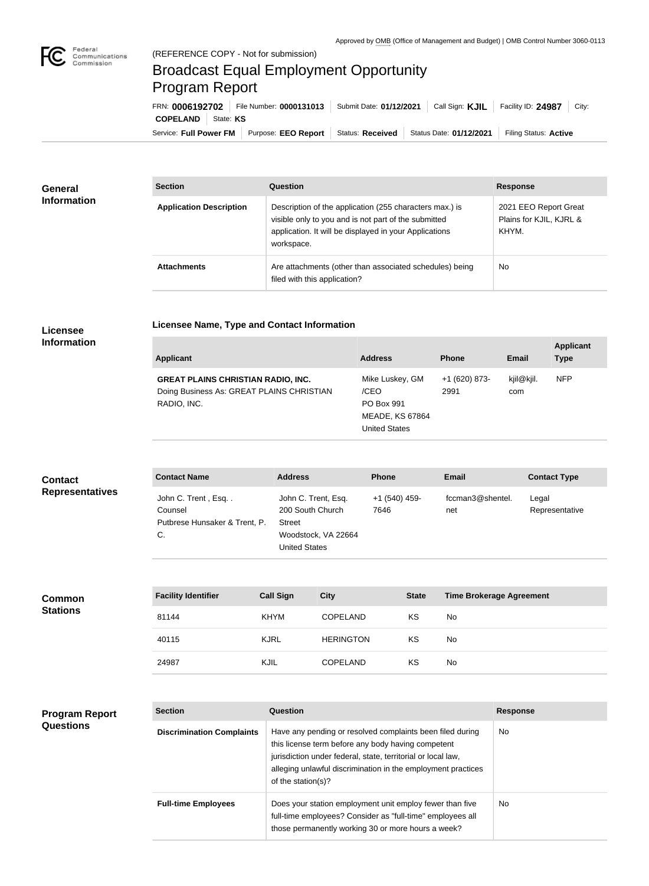

п

## Broadcast Equal Employment Opportunity Program Report

**Licensee Name, Type and Contact Information**

Service: Full Power FM Purpose: EEO Report | Status: Received | Status Date: 01/12/2021 | Filing Status: Active **COPELAND** State: **KS** FRN: **0006192702** File Number: **0000131013** Submit Date: **01/12/2021** Call Sign: **KJIL** Facility ID: **24987** City:

| General<br><b>Information</b> | <b>Section</b>                 | Question                                                                                                                                                                                | <b>Response</b>                                           |
|-------------------------------|--------------------------------|-----------------------------------------------------------------------------------------------------------------------------------------------------------------------------------------|-----------------------------------------------------------|
|                               | <b>Application Description</b> | Description of the application (255 characters max.) is<br>visible only to you and is not part of the submitted<br>application. It will be displayed in your Applications<br>workspace. | 2021 EEO Report Great<br>Plains for KJIL, KJRL &<br>KHYM. |
|                               | <b>Attachments</b>             | Are attachments (other than associated schedules) being<br>filed with this application?                                                                                                 | No                                                        |

## **Licensee Information**

| <b>Applicant</b>                                                                                      | <b>Address</b>                                                                                 | <b>Phone</b>          | <b>Email</b>      | <b>Applicant</b><br><b>Type</b> |
|-------------------------------------------------------------------------------------------------------|------------------------------------------------------------------------------------------------|-----------------------|-------------------|---------------------------------|
| <b>GREAT PLAINS CHRISTIAN RADIO, INC.</b><br>Doing Business As: GREAT PLAINS CHRISTIAN<br>RADIO, INC. | Mike Luskey, GM<br>/CEO<br><b>PO Box 991</b><br><b>MEADE, KS 67864</b><br><b>United States</b> | +1 (620) 873-<br>2991 | kjil@kjil.<br>com | <b>NFP</b>                      |

| <b>Contact</b>         | <b>Contact Name</b>                                                  | <b>Address</b>                                                                                          | <b>Phone</b>          | <b>Email</b>            | <b>Contact Type</b>     |
|------------------------|----------------------------------------------------------------------|---------------------------------------------------------------------------------------------------------|-----------------------|-------------------------|-------------------------|
| <b>Representatives</b> | John C. Trent, Esq<br>Counsel<br>Putbrese Hunsaker & Trent, P.<br>C. | John C. Trent, Esq.<br>200 South Church<br><b>Street</b><br>Woodstock, VA 22664<br><b>United States</b> | +1 (540) 459-<br>7646 | fccman3@shentel.<br>net | Legal<br>Representative |

| <b>Common</b><br><b>Stations</b> | <b>Facility Identifier</b> | <b>Call Sign</b> | <b>City</b>      | <b>State</b> | <b>Time Brokerage Agreement</b> |
|----------------------------------|----------------------------|------------------|------------------|--------------|---------------------------------|
|                                  | 81144                      | <b>KHYM</b>      | <b>COPELAND</b>  | KS           | No                              |
|                                  | 40115                      | <b>KJRL</b>      | <b>HERINGTON</b> | KS           | No                              |
|                                  | 24987                      | KJIL             | <b>COPELAND</b>  | KS           | No                              |

## **Program Report Questions**

| <b>Section</b>                   | Question                                                                                                                                                                                                                                                              | <b>Response</b> |
|----------------------------------|-----------------------------------------------------------------------------------------------------------------------------------------------------------------------------------------------------------------------------------------------------------------------|-----------------|
| <b>Discrimination Complaints</b> | Have any pending or resolved complaints been filed during<br>this license term before any body having competent<br>jurisdiction under federal, state, territorial or local law,<br>alleging unlawful discrimination in the employment practices<br>of the station(s)? | No.             |
| <b>Full-time Employees</b>       | Does your station employment unit employ fewer than five<br>full-time employees? Consider as "full-time" employees all<br>those permanently working 30 or more hours a week?                                                                                          | No.             |